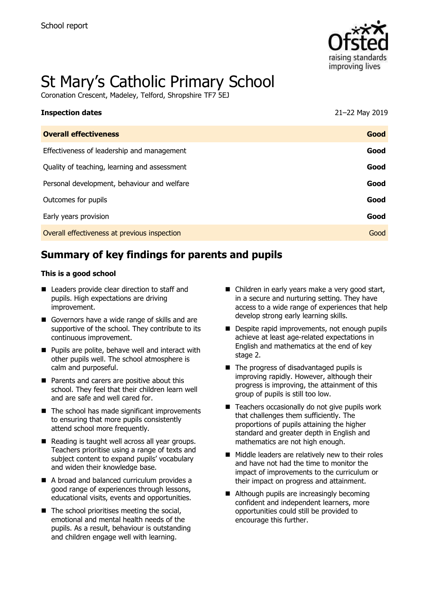

# St Mary's Catholic Primary School

Coronation Crescent, Madeley, Telford, Shropshire TF7 5EJ

| <b>Inspection dates</b>                      | 21-22 May 2019 |
|----------------------------------------------|----------------|
| <b>Overall effectiveness</b>                 | Good           |
| Effectiveness of leadership and management   | Good           |
| Quality of teaching, learning and assessment | Good           |
| Personal development, behaviour and welfare  | Good           |
| Outcomes for pupils                          | Good           |
| Early years provision                        | Good           |
| Overall effectiveness at previous inspection | Good           |

# **Summary of key findings for parents and pupils**

#### **This is a good school**

- Leaders provide clear direction to staff and pupils. High expectations are driving improvement.
- Governors have a wide range of skills and are supportive of the school. They contribute to its continuous improvement.
- Pupils are polite, behave well and interact with other pupils well. The school atmosphere is calm and purposeful.
- Parents and carers are positive about this school. They feel that their children learn well and are safe and well cared for.
- The school has made significant improvements to ensuring that more pupils consistently attend school more frequently.
- Reading is taught well across all year groups. Teachers prioritise using a range of texts and subject content to expand pupils' vocabulary and widen their knowledge base.
- A broad and balanced curriculum provides a good range of experiences through lessons, educational visits, events and opportunities.
- The school prioritises meeting the social, emotional and mental health needs of the pupils. As a result, behaviour is outstanding and children engage well with learning.
- Children in early years make a very good start, in a secure and nurturing setting. They have access to a wide range of experiences that help develop strong early learning skills.
- Despite rapid improvements, not enough pupils achieve at least age-related expectations in English and mathematics at the end of key stage 2.
- The progress of disadvantaged pupils is improving rapidly. However, although their progress is improving, the attainment of this group of pupils is still too low.
- Teachers occasionally do not give pupils work that challenges them sufficiently. The proportions of pupils attaining the higher standard and greater depth in English and mathematics are not high enough.
- Middle leaders are relatively new to their roles and have not had the time to monitor the impact of improvements to the curriculum or their impact on progress and attainment.
- Although pupils are increasingly becoming confident and independent learners, more opportunities could still be provided to encourage this further.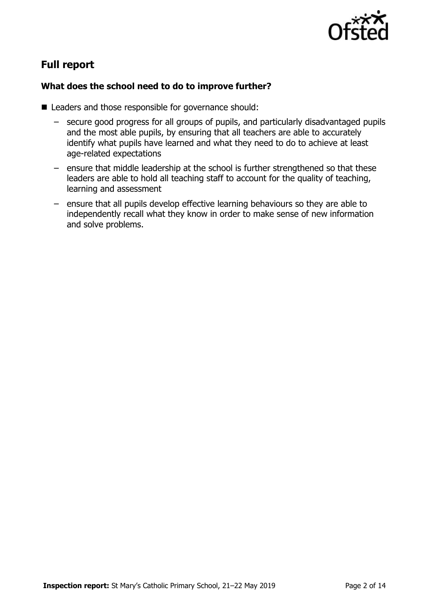

# **Full report**

#### **What does the school need to do to improve further?**

- Leaders and those responsible for governance should:
	- secure good progress for all groups of pupils, and particularly disadvantaged pupils and the most able pupils, by ensuring that all teachers are able to accurately identify what pupils have learned and what they need to do to achieve at least age-related expectations
	- ensure that middle leadership at the school is further strengthened so that these leaders are able to hold all teaching staff to account for the quality of teaching, learning and assessment
	- ensure that all pupils develop effective learning behaviours so they are able to independently recall what they know in order to make sense of new information and solve problems.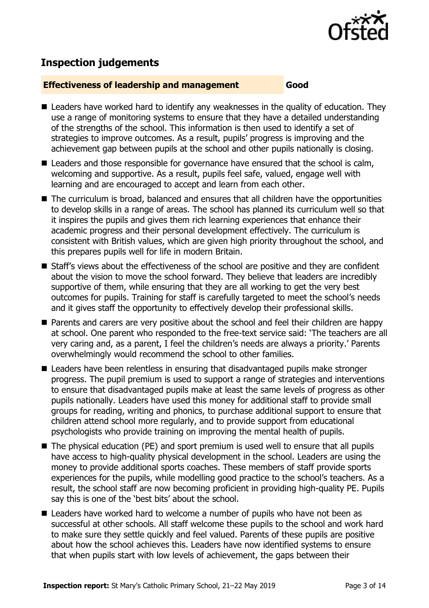

# **Inspection judgements**

#### **Effectiveness of leadership and management Good**

- Leaders have worked hard to identify any weaknesses in the quality of education. They use a range of monitoring systems to ensure that they have a detailed understanding of the strengths of the school. This information is then used to identify a set of strategies to improve outcomes. As a result, pupils' progress is improving and the achievement gap between pupils at the school and other pupils nationally is closing.
- Leaders and those responsible for governance have ensured that the school is calm, welcoming and supportive. As a result, pupils feel safe, valued, engage well with learning and are encouraged to accept and learn from each other.
- The curriculum is broad, balanced and ensures that all children have the opportunities to develop skills in a range of areas. The school has planned its curriculum well so that it inspires the pupils and gives them rich learning experiences that enhance their academic progress and their personal development effectively. The curriculum is consistent with British values, which are given high priority throughout the school, and this prepares pupils well for life in modern Britain.
- Staff's views about the effectiveness of the school are positive and they are confident about the vision to move the school forward. They believe that leaders are incredibly supportive of them, while ensuring that they are all working to get the very best outcomes for pupils. Training for staff is carefully targeted to meet the school's needs and it gives staff the opportunity to effectively develop their professional skills.
- Parents and carers are very positive about the school and feel their children are happy at school. One parent who responded to the free-text service said: 'The teachers are all very caring and, as a parent, I feel the children's needs are always a priority.' Parents overwhelmingly would recommend the school to other families.
- Leaders have been relentless in ensuring that disadvantaged pupils make stronger progress. The pupil premium is used to support a range of strategies and interventions to ensure that disadvantaged pupils make at least the same levels of progress as other pupils nationally. Leaders have used this money for additional staff to provide small groups for reading, writing and phonics, to purchase additional support to ensure that children attend school more regularly, and to provide support from educational psychologists who provide training on improving the mental health of pupils.
- The physical education (PE) and sport premium is used well to ensure that all pupils have access to high-quality physical development in the school. Leaders are using the money to provide additional sports coaches. These members of staff provide sports experiences for the pupils, while modelling good practice to the school's teachers. As a result, the school staff are now becoming proficient in providing high-quality PE. Pupils say this is one of the 'best bits' about the school.
- Leaders have worked hard to welcome a number of pupils who have not been as successful at other schools. All staff welcome these pupils to the school and work hard to make sure they settle quickly and feel valued. Parents of these pupils are positive about how the school achieves this. Leaders have now identified systems to ensure that when pupils start with low levels of achievement, the gaps between their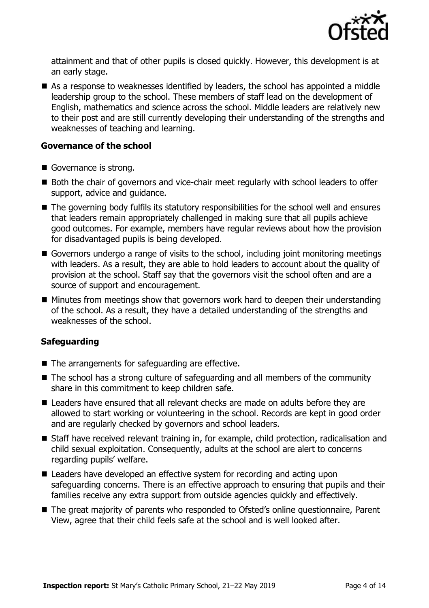

attainment and that of other pupils is closed quickly. However, this development is at an early stage.

■ As a response to weaknesses identified by leaders, the school has appointed a middle leadership group to the school. These members of staff lead on the development of English, mathematics and science across the school. Middle leaders are relatively new to their post and are still currently developing their understanding of the strengths and weaknesses of teaching and learning.

#### **Governance of the school**

- Governance is strong.
- Both the chair of governors and vice-chair meet regularly with school leaders to offer support, advice and guidance.
- The governing body fulfils its statutory responsibilities for the school well and ensures that leaders remain appropriately challenged in making sure that all pupils achieve good outcomes. For example, members have regular reviews about how the provision for disadvantaged pupils is being developed.
- Governors undergo a range of visits to the school, including joint monitoring meetings with leaders. As a result, they are able to hold leaders to account about the quality of provision at the school. Staff say that the governors visit the school often and are a source of support and encouragement.
- Minutes from meetings show that governors work hard to deepen their understanding of the school. As a result, they have a detailed understanding of the strengths and weaknesses of the school.

#### **Safeguarding**

- The arrangements for safeguarding are effective.
- The school has a strong culture of safeguarding and all members of the community share in this commitment to keep children safe.
- Leaders have ensured that all relevant checks are made on adults before they are allowed to start working or volunteering in the school. Records are kept in good order and are regularly checked by governors and school leaders.
- Staff have received relevant training in, for example, child protection, radicalisation and child sexual exploitation. Consequently, adults at the school are alert to concerns regarding pupils' welfare.
- Leaders have developed an effective system for recording and acting upon safeguarding concerns. There is an effective approach to ensuring that pupils and their families receive any extra support from outside agencies quickly and effectively.
- The great majority of parents who responded to Ofsted's online questionnaire, Parent View, agree that their child feels safe at the school and is well looked after.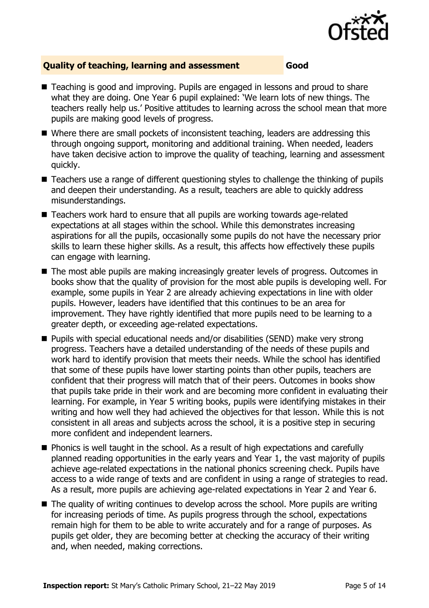

#### **Quality of teaching, learning and assessment Good**

- Teaching is good and improving. Pupils are engaged in lessons and proud to share what they are doing. One Year 6 pupil explained: 'We learn lots of new things. The teachers really help us.' Positive attitudes to learning across the school mean that more pupils are making good levels of progress.
- Where there are small pockets of inconsistent teaching, leaders are addressing this through ongoing support, monitoring and additional training. When needed, leaders have taken decisive action to improve the quality of teaching, learning and assessment quickly.
- Teachers use a range of different questioning styles to challenge the thinking of pupils and deepen their understanding. As a result, teachers are able to quickly address misunderstandings.
- Teachers work hard to ensure that all pupils are working towards age-related expectations at all stages within the school. While this demonstrates increasing aspirations for all the pupils, occasionally some pupils do not have the necessary prior skills to learn these higher skills. As a result, this affects how effectively these pupils can engage with learning.
- The most able pupils are making increasingly greater levels of progress. Outcomes in books show that the quality of provision for the most able pupils is developing well. For example, some pupils in Year 2 are already achieving expectations in line with older pupils. However, leaders have identified that this continues to be an area for improvement. They have rightly identified that more pupils need to be learning to a greater depth, or exceeding age-related expectations.
- Pupils with special educational needs and/or disabilities (SEND) make very strong progress. Teachers have a detailed understanding of the needs of these pupils and work hard to identify provision that meets their needs. While the school has identified that some of these pupils have lower starting points than other pupils, teachers are confident that their progress will match that of their peers. Outcomes in books show that pupils take pride in their work and are becoming more confident in evaluating their learning. For example, in Year 5 writing books, pupils were identifying mistakes in their writing and how well they had achieved the objectives for that lesson. While this is not consistent in all areas and subjects across the school, it is a positive step in securing more confident and independent learners.
- Phonics is well taught in the school. As a result of high expectations and carefully planned reading opportunities in the early years and Year 1, the vast majority of pupils achieve age-related expectations in the national phonics screening check. Pupils have access to a wide range of texts and are confident in using a range of strategies to read. As a result, more pupils are achieving age-related expectations in Year 2 and Year 6.
- The quality of writing continues to develop across the school. More pupils are writing for increasing periods of time. As pupils progress through the school, expectations remain high for them to be able to write accurately and for a range of purposes. As pupils get older, they are becoming better at checking the accuracy of their writing and, when needed, making corrections.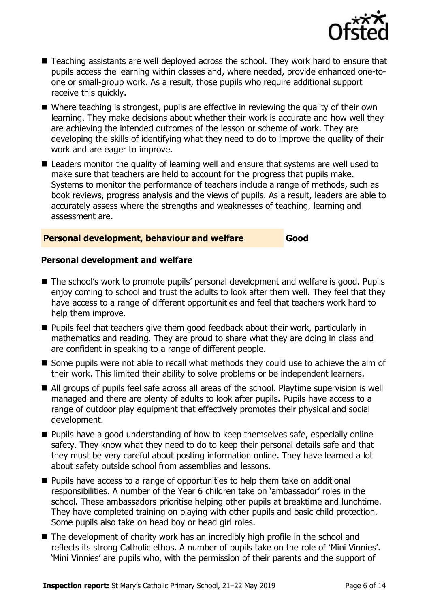

- Teaching assistants are well deployed across the school. They work hard to ensure that pupils access the learning within classes and, where needed, provide enhanced one-toone or small-group work. As a result, those pupils who require additional support receive this quickly.
- Where teaching is strongest, pupils are effective in reviewing the quality of their own learning. They make decisions about whether their work is accurate and how well they are achieving the intended outcomes of the lesson or scheme of work. They are developing the skills of identifying what they need to do to improve the quality of their work and are eager to improve.
- Leaders monitor the quality of learning well and ensure that systems are well used to make sure that teachers are held to account for the progress that pupils make. Systems to monitor the performance of teachers include a range of methods, such as book reviews, progress analysis and the views of pupils. As a result, leaders are able to accurately assess where the strengths and weaknesses of teaching, learning and assessment are.

#### **Personal development, behaviour and welfare Good**

#### **Personal development and welfare**

- The school's work to promote pupils' personal development and welfare is good. Pupils enjoy coming to school and trust the adults to look after them well. They feel that they have access to a range of different opportunities and feel that teachers work hard to help them improve.
- Pupils feel that teachers give them good feedback about their work, particularly in mathematics and reading. They are proud to share what they are doing in class and are confident in speaking to a range of different people.
- Some pupils were not able to recall what methods they could use to achieve the aim of their work. This limited their ability to solve problems or be independent learners.
- All groups of pupils feel safe across all areas of the school. Playtime supervision is well managed and there are plenty of adults to look after pupils. Pupils have access to a range of outdoor play equipment that effectively promotes their physical and social development.
- Pupils have a good understanding of how to keep themselves safe, especially online safety. They know what they need to do to keep their personal details safe and that they must be very careful about posting information online. They have learned a lot about safety outside school from assemblies and lessons.
- Pupils have access to a range of opportunities to help them take on additional responsibilities. A number of the Year 6 children take on 'ambassador' roles in the school. These ambassadors prioritise helping other pupils at breaktime and lunchtime. They have completed training on playing with other pupils and basic child protection. Some pupils also take on head boy or head girl roles.
- The development of charity work has an incredibly high profile in the school and reflects its strong Catholic ethos. A number of pupils take on the role of 'Mini Vinnies'. 'Mini Vinnies' are pupils who, with the permission of their parents and the support of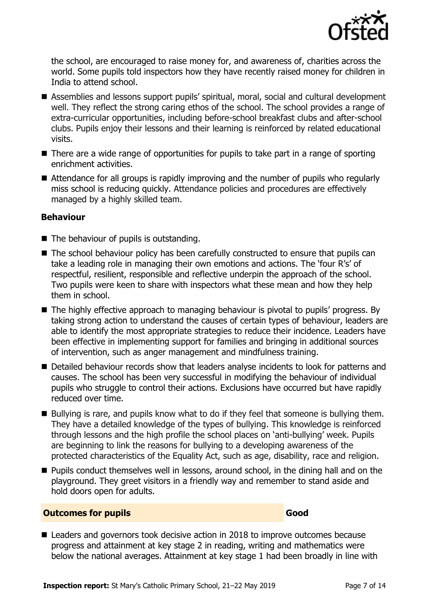

the school, are encouraged to raise money for, and awareness of, charities across the world. Some pupils told inspectors how they have recently raised money for children in India to attend school.

- Assemblies and lessons support pupils' spiritual, moral, social and cultural development well. They reflect the strong caring ethos of the school. The school provides a range of extra-curricular opportunities, including before-school breakfast clubs and after-school clubs. Pupils enjoy their lessons and their learning is reinforced by related educational visits.
- There are a wide range of opportunities for pupils to take part in a range of sporting enrichment activities.
- Attendance for all groups is rapidly improving and the number of pupils who regularly miss school is reducing quickly. Attendance policies and procedures are effectively managed by a highly skilled team.

#### **Behaviour**

- The behaviour of pupils is outstanding.
- The school behaviour policy has been carefully constructed to ensure that pupils can take a leading role in managing their own emotions and actions. The 'four R's' of respectful, resilient, responsible and reflective underpin the approach of the school. Two pupils were keen to share with inspectors what these mean and how they help them in school.
- The highly effective approach to managing behaviour is pivotal to pupils' progress. By taking strong action to understand the causes of certain types of behaviour, leaders are able to identify the most appropriate strategies to reduce their incidence. Leaders have been effective in implementing support for families and bringing in additional sources of intervention, such as anger management and mindfulness training.
- Detailed behaviour records show that leaders analyse incidents to look for patterns and causes. The school has been very successful in modifying the behaviour of individual pupils who struggle to control their actions. Exclusions have occurred but have rapidly reduced over time.
- Bullying is rare, and pupils know what to do if they feel that someone is bullying them. They have a detailed knowledge of the types of bullying. This knowledge is reinforced through lessons and the high profile the school places on 'anti-bullying' week. Pupils are beginning to link the reasons for bullying to a developing awareness of the protected characteristics of the Equality Act, such as age, disability, race and religion.
- Pupils conduct themselves well in lessons, around school, in the dining hall and on the playground. They greet visitors in a friendly way and remember to stand aside and hold doors open for adults.

#### **Outcomes for pupils Good**

■ Leaders and governors took decisive action in 2018 to improve outcomes because progress and attainment at key stage 2 in reading, writing and mathematics were below the national averages. Attainment at key stage 1 had been broadly in line with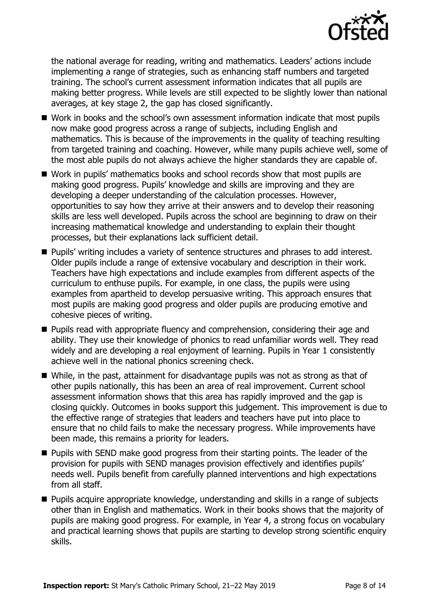

the national average for reading, writing and mathematics. Leaders' actions include implementing a range of strategies, such as enhancing staff numbers and targeted training. The school's current assessment information indicates that all pupils are making better progress. While levels are still expected to be slightly lower than national averages, at key stage 2, the gap has closed significantly.

- Work in books and the school's own assessment information indicate that most pupils now make good progress across a range of subjects, including English and mathematics. This is because of the improvements in the quality of teaching resulting from targeted training and coaching. However, while many pupils achieve well, some of the most able pupils do not always achieve the higher standards they are capable of.
- Work in pupils' mathematics books and school records show that most pupils are making good progress. Pupils' knowledge and skills are improving and they are developing a deeper understanding of the calculation processes. However, opportunities to say how they arrive at their answers and to develop their reasoning skills are less well developed. Pupils across the school are beginning to draw on their increasing mathematical knowledge and understanding to explain their thought processes, but their explanations lack sufficient detail.
- Pupils' writing includes a variety of sentence structures and phrases to add interest. Older pupils include a range of extensive vocabulary and description in their work. Teachers have high expectations and include examples from different aspects of the curriculum to enthuse pupils. For example, in one class, the pupils were using examples from apartheid to develop persuasive writing. This approach ensures that most pupils are making good progress and older pupils are producing emotive and cohesive pieces of writing.
- Pupils read with appropriate fluency and comprehension, considering their age and ability. They use their knowledge of phonics to read unfamiliar words well. They read widely and are developing a real enjoyment of learning. Pupils in Year 1 consistently achieve well in the national phonics screening check.
- While, in the past, attainment for disadvantage pupils was not as strong as that of other pupils nationally, this has been an area of real improvement. Current school assessment information shows that this area has rapidly improved and the gap is closing quickly. Outcomes in books support this judgement. This improvement is due to the effective range of strategies that leaders and teachers have put into place to ensure that no child fails to make the necessary progress. While improvements have been made, this remains a priority for leaders.
- Pupils with SEND make good progress from their starting points. The leader of the provision for pupils with SEND manages provision effectively and identifies pupils' needs well. Pupils benefit from carefully planned interventions and high expectations from all staff.
- Pupils acquire appropriate knowledge, understanding and skills in a range of subjects other than in English and mathematics. Work in their books shows that the majority of pupils are making good progress. For example, in Year 4, a strong focus on vocabulary and practical learning shows that pupils are starting to develop strong scientific enquiry skills.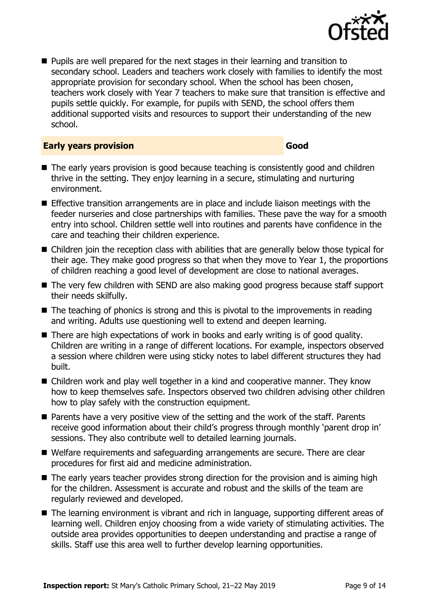

■ Pupils are well prepared for the next stages in their learning and transition to secondary school. Leaders and teachers work closely with families to identify the most appropriate provision for secondary school. When the school has been chosen, teachers work closely with Year 7 teachers to make sure that transition is effective and pupils settle quickly. For example, for pupils with SEND, the school offers them additional supported visits and resources to support their understanding of the new school.

#### **Early years provision Good Good**

- The early years provision is good because teaching is consistently good and children thrive in the setting. They enjoy learning in a secure, stimulating and nurturing environment.
- Effective transition arrangements are in place and include liaison meetings with the feeder nurseries and close partnerships with families. These pave the way for a smooth entry into school. Children settle well into routines and parents have confidence in the care and teaching their children experience.
- Children join the reception class with abilities that are generally below those typical for their age. They make good progress so that when they move to Year 1, the proportions of children reaching a good level of development are close to national averages.
- The very few children with SEND are also making good progress because staff support their needs skilfully.
- The teaching of phonics is strong and this is pivotal to the improvements in reading and writing. Adults use questioning well to extend and deepen learning.
- There are high expectations of work in books and early writing is of good quality. Children are writing in a range of different locations. For example, inspectors observed a session where children were using sticky notes to label different structures they had built.
- Children work and play well together in a kind and cooperative manner. They know how to keep themselves safe. Inspectors observed two children advising other children how to play safely with the construction equipment.
- Parents have a very positive view of the setting and the work of the staff. Parents receive good information about their child's progress through monthly 'parent drop in' sessions. They also contribute well to detailed learning journals.
- Welfare requirements and safeguarding arrangements are secure. There are clear procedures for first aid and medicine administration.
- The early years teacher provides strong direction for the provision and is aiming high for the children. Assessment is accurate and robust and the skills of the team are regularly reviewed and developed.
- The learning environment is vibrant and rich in language, supporting different areas of learning well. Children enjoy choosing from a wide variety of stimulating activities. The outside area provides opportunities to deepen understanding and practise a range of skills. Staff use this area well to further develop learning opportunities.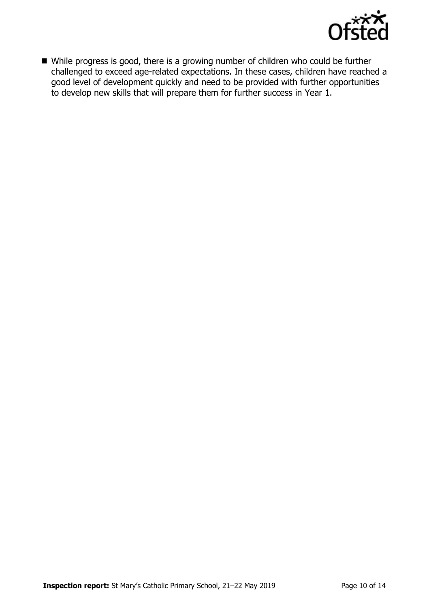

■ While progress is good, there is a growing number of children who could be further challenged to exceed age-related expectations. In these cases, children have reached a good level of development quickly and need to be provided with further opportunities to develop new skills that will prepare them for further success in Year 1.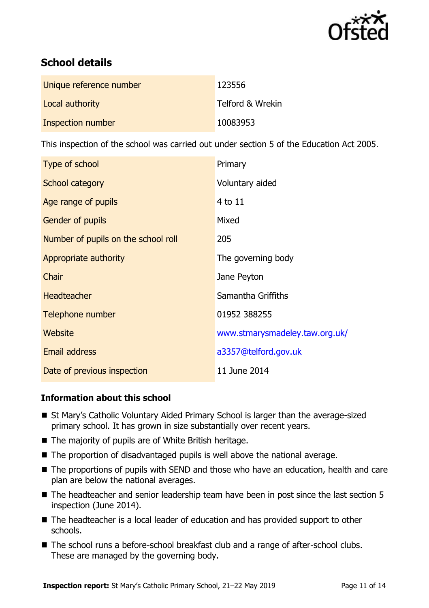

# **School details**

| Unique reference number | 123556           |
|-------------------------|------------------|
| Local authority         | Telford & Wrekin |
| Inspection number       | 10083953         |

This inspection of the school was carried out under section 5 of the Education Act 2005.

| Type of school                      | Primary                        |
|-------------------------------------|--------------------------------|
| School category                     | Voluntary aided                |
| Age range of pupils                 | 4 to 11                        |
| <b>Gender of pupils</b>             | Mixed                          |
| Number of pupils on the school roll | 205                            |
| Appropriate authority               | The governing body             |
| Chair                               | Jane Peyton                    |
| <b>Headteacher</b>                  | Samantha Griffiths             |
| Telephone number                    | 01952 388255                   |
| Website                             | www.stmarysmadeley.taw.org.uk/ |
| <b>Email address</b>                | a3357@telford.gov.uk           |
| Date of previous inspection         | 11 June 2014                   |

### **Information about this school**

- St Mary's Catholic Voluntary Aided Primary School is larger than the average-sized primary school. It has grown in size substantially over recent years.
- The majority of pupils are of White British heritage.
- The proportion of disadvantaged pupils is well above the national average.
- The proportions of pupils with SEND and those who have an education, health and care plan are below the national averages.
- The headteacher and senior leadership team have been in post since the last section 5 inspection (June 2014).
- The headteacher is a local leader of education and has provided support to other schools.
- The school runs a before-school breakfast club and a range of after-school clubs. These are managed by the governing body.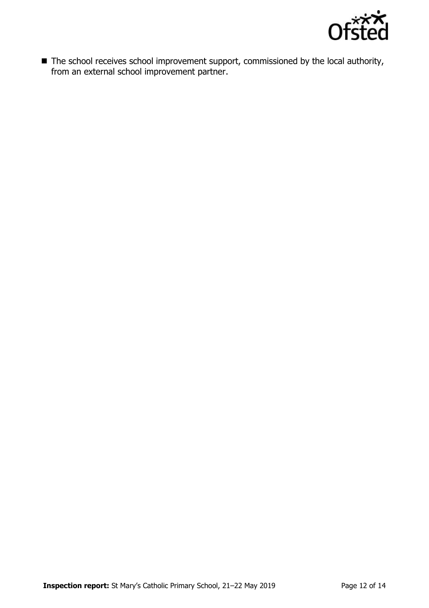

■ The school receives school improvement support, commissioned by the local authority, from an external school improvement partner.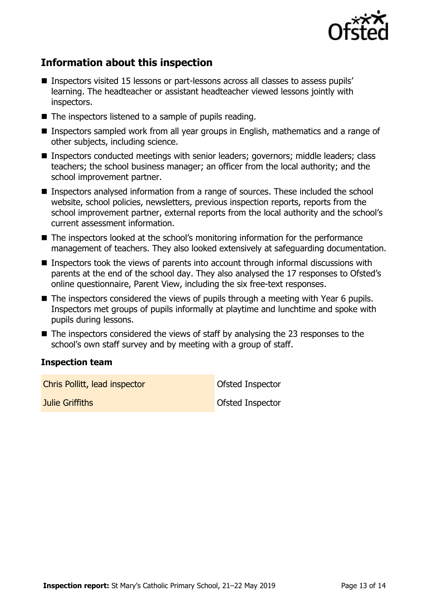

# **Information about this inspection**

- Inspectors visited 15 lessons or part-lessons across all classes to assess pupils' learning. The headteacher or assistant headteacher viewed lessons jointly with inspectors.
- The inspectors listened to a sample of pupils reading.
- Inspectors sampled work from all year groups in English, mathematics and a range of other subjects, including science.
- Inspectors conducted meetings with senior leaders; governors; middle leaders; class teachers; the school business manager; an officer from the local authority; and the school improvement partner.
- Inspectors analysed information from a range of sources. These included the school website, school policies, newsletters, previous inspection reports, reports from the school improvement partner, external reports from the local authority and the school's current assessment information.
- The inspectors looked at the school's monitoring information for the performance management of teachers. They also looked extensively at safeguarding documentation.
- Inspectors took the views of parents into account through informal discussions with parents at the end of the school day. They also analysed the 17 responses to Ofsted's online questionnaire, Parent View, including the six free-text responses.
- The inspectors considered the views of pupils through a meeting with Year 6 pupils. Inspectors met groups of pupils informally at playtime and lunchtime and spoke with pupils during lessons.
- $\blacksquare$  The inspectors considered the views of staff by analysing the 23 responses to the school's own staff survey and by meeting with a group of staff.

#### **Inspection team**

**Chris Pollitt, lead inspector** Chris Pollitt, and inspector **Julie Griffiths Community Community Community Construction Construction Construction Construction Construction**